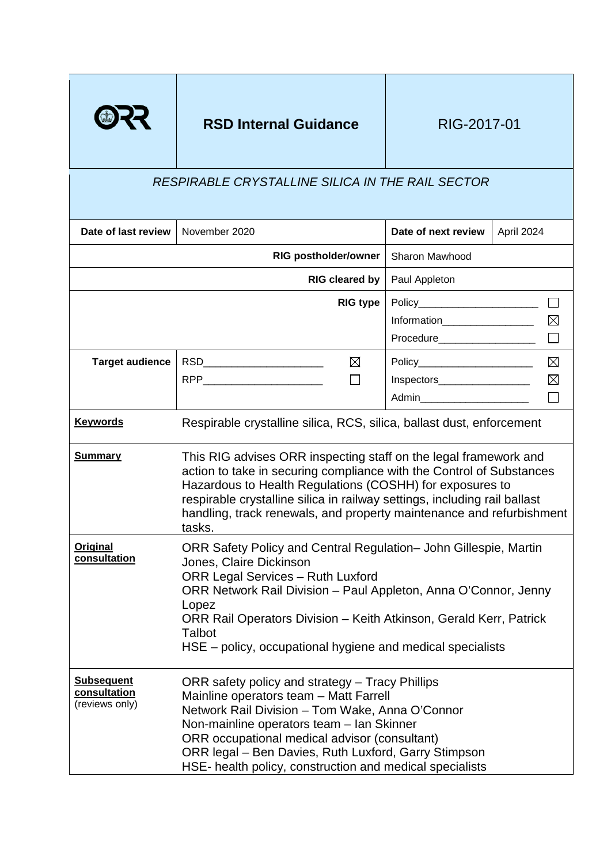

# **RSD Internal Guidance** RIG-2017-01

# *RESPIRABLE CRYSTALLINE SILICA IN THE RAIL SECTOR*

| Date of last review                                 | November 2020                                                                                                                                                                                                                                                                                                                                                       |                 | Date of next review              | April 2024  |
|-----------------------------------------------------|---------------------------------------------------------------------------------------------------------------------------------------------------------------------------------------------------------------------------------------------------------------------------------------------------------------------------------------------------------------------|-----------------|----------------------------------|-------------|
|                                                     | <b>RIG postholder/owner</b>                                                                                                                                                                                                                                                                                                                                         |                 | Sharon Mawhood                   |             |
|                                                     | RIG cleared by                                                                                                                                                                                                                                                                                                                                                      |                 | Paul Appleton                    |             |
|                                                     |                                                                                                                                                                                                                                                                                                                                                                     | <b>RIG type</b> | Policy__________________________ |             |
|                                                     |                                                                                                                                                                                                                                                                                                                                                                     |                 | Information___________________   | $\boxtimes$ |
|                                                     |                                                                                                                                                                                                                                                                                                                                                                     |                 | <b>Procedure Example 2019</b>    | $\Box$      |
| <b>Target audience</b>                              | ⊠<br>RSD__________________________                                                                                                                                                                                                                                                                                                                                  |                 | Policy________________________   | $\boxtimes$ |
|                                                     |                                                                                                                                                                                                                                                                                                                                                                     |                 | Inspectors                       | $\boxtimes$ |
|                                                     |                                                                                                                                                                                                                                                                                                                                                                     |                 | Admin_________________________   | $\Box$      |
| <b>Keywords</b>                                     | Respirable crystalline silica, RCS, silica, ballast dust, enforcement                                                                                                                                                                                                                                                                                               |                 |                                  |             |
| <b>Summary</b>                                      | This RIG advises ORR inspecting staff on the legal framework and<br>action to take in securing compliance with the Control of Substances<br>Hazardous to Health Regulations (COSHH) for exposures to<br>respirable crystalline silica in railway settings, including rail ballast<br>handling, track renewals, and property maintenance and refurbishment<br>tasks. |                 |                                  |             |
| <b>Original</b><br>consultation                     | ORR Safety Policy and Central Regulation– John Gillespie, Martin<br>Jones, Claire Dickinson<br><b>ORR Legal Services - Ruth Luxford</b><br>ORR Network Rail Division - Paul Appleton, Anna O'Connor, Jenny<br>Lopez<br>ORR Rail Operators Division - Keith Atkinson, Gerald Kerr, Patrick<br>Talbot<br>HSE – policy, occupational hygiene and medical specialists   |                 |                                  |             |
| <b>Subsequent</b><br>consultation<br>(reviews only) | ORR safety policy and strategy - Tracy Phillips<br>Mainline operators team - Matt Farrell<br>Network Rail Division - Tom Wake, Anna O'Connor<br>Non-mainline operators team - Ian Skinner<br>ORR occupational medical advisor (consultant)<br>ORR legal – Ben Davies, Ruth Luxford, Garry Stimpson<br>HSE- health policy, construction and medical specialists      |                 |                                  |             |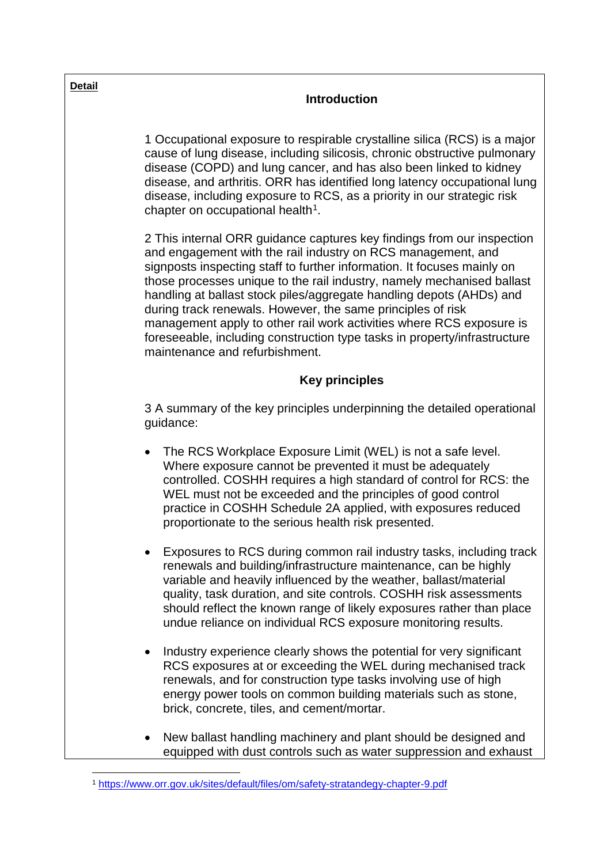| <b>Detail</b> | <b>Introduction</b>                                                                                                                                                                                                                                                                                                                                                                                                                                                                                                                                                                                                       |  |  |
|---------------|---------------------------------------------------------------------------------------------------------------------------------------------------------------------------------------------------------------------------------------------------------------------------------------------------------------------------------------------------------------------------------------------------------------------------------------------------------------------------------------------------------------------------------------------------------------------------------------------------------------------------|--|--|
|               | 1 Occupational exposure to respirable crystalline silica (RCS) is a major<br>cause of lung disease, including silicosis, chronic obstructive pulmonary<br>disease (COPD) and lung cancer, and has also been linked to kidney<br>disease, and arthritis. ORR has identified long latency occupational lung<br>disease, including exposure to RCS, as a priority in our strategic risk<br>chapter on occupational health <sup>1</sup> .                                                                                                                                                                                     |  |  |
|               | 2 This internal ORR guidance captures key findings from our inspection<br>and engagement with the rail industry on RCS management, and<br>signposts inspecting staff to further information. It focuses mainly on<br>those processes unique to the rail industry, namely mechanised ballast<br>handling at ballast stock piles/aggregate handling depots (AHDs) and<br>during track renewals. However, the same principles of risk<br>management apply to other rail work activities where RCS exposure is<br>foreseeable, including construction type tasks in property/infrastructure<br>maintenance and refurbishment. |  |  |
|               | <b>Key principles</b>                                                                                                                                                                                                                                                                                                                                                                                                                                                                                                                                                                                                     |  |  |
|               | 3 A summary of the key principles underpinning the detailed operational<br>guidance:                                                                                                                                                                                                                                                                                                                                                                                                                                                                                                                                      |  |  |
|               | The RCS Workplace Exposure Limit (WEL) is not a safe level.<br>$\bullet$<br>Where exposure cannot be prevented it must be adequately<br>controlled. COSHH requires a high standard of control for RCS: the<br>WEL must not be exceeded and the principles of good control<br>practice in COSHH Schedule 2A applied, with exposures reduced<br>proportionate to the serious health risk presented.                                                                                                                                                                                                                         |  |  |
|               | Exposures to RCS during common rail industry tasks, including track<br>renewals and building/infrastructure maintenance, can be highly<br>variable and heavily influenced by the weather, ballast/material<br>quality, task duration, and site controls. COSHH risk assessments<br>should reflect the known range of likely exposures rather than place<br>undue reliance on individual RCS exposure monitoring results.                                                                                                                                                                                                  |  |  |
|               | Industry experience clearly shows the potential for very significant<br>RCS exposures at or exceeding the WEL during mechanised track<br>renewals, and for construction type tasks involving use of high<br>energy power tools on common building materials such as stone,<br>brick, concrete, tiles, and cement/mortar.                                                                                                                                                                                                                                                                                                  |  |  |
|               | New ballast handling machinery and plant should be designed and<br>equipped with dust controls such as water suppression and exhaust                                                                                                                                                                                                                                                                                                                                                                                                                                                                                      |  |  |

<span id="page-1-0"></span> $\overline{a}$ <sup>1</sup> <https://www.orr.gov.uk/sites/default/files/om/safety-stratandegy-chapter-9.pdf>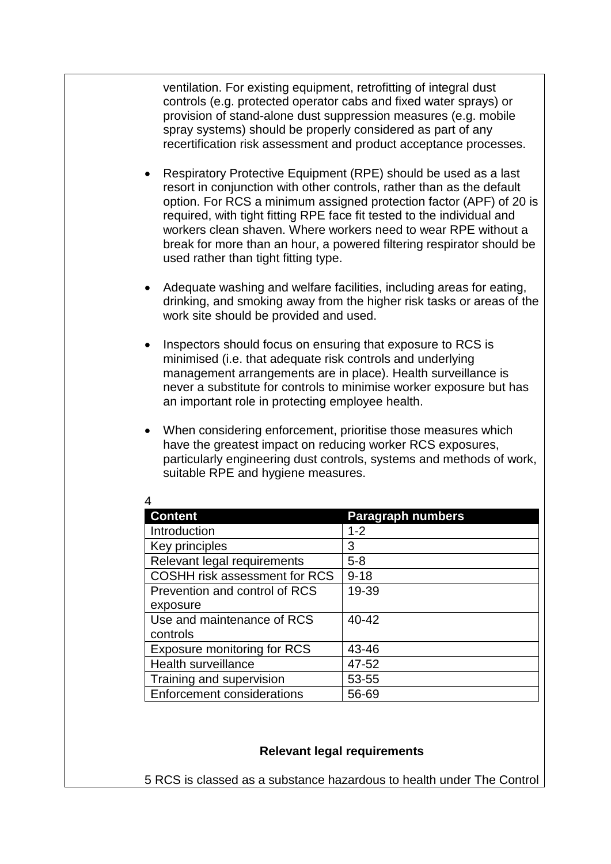ventilation. For existing equipment, retrofitting of integral dust controls (e.g. protected operator cabs and fixed water sprays) or provision of stand-alone dust suppression measures (e.g. mobile spray systems) should be properly considered as part of any recertification risk assessment and product acceptance processes.

- Respiratory Protective Equipment (RPE) should be used as a last resort in conjunction with other controls, rather than as the default option. For RCS a minimum assigned protection factor (APF) of 20 is required, with tight fitting RPE face fit tested to the individual and workers clean shaven. Where workers need to wear RPE without a break for more than an hour, a powered filtering respirator should be used rather than tight fitting type.
- Adequate washing and welfare facilities, including areas for eating, drinking, and smoking away from the higher risk tasks or areas of the work site should be provided and used.
- Inspectors should focus on ensuring that exposure to RCS is minimised (i.e. that adequate risk controls and underlying management arrangements are in place). Health surveillance is never a substitute for controls to minimise worker exposure but has an important role in protecting employee health.
- When considering enforcement, prioritise those measures which have the greatest impact on reducing worker RCS exposures, particularly engineering dust controls, systems and methods of work, suitable RPE and hygiene measures.

| <b>Content</b>                     | <b>Paragraph numbers</b> |
|------------------------------------|--------------------------|
| Introduction                       | $1 - 2$                  |
| Key principles                     | З                        |
| Relevant legal requirements        | $5 - 8$                  |
| COSHH risk assessment for RCS      | $9 - 18$                 |
| Prevention and control of RCS      | 19-39                    |
| exposure                           |                          |
| Use and maintenance of RCS         | 40-42                    |
| controls                           |                          |
| <b>Exposure monitoring for RCS</b> | 43-46                    |
| <b>Health surveillance</b>         | 47-52                    |
| Training and supervision           | 53-55                    |
| <b>Enforcement considerations</b>  | 56-69                    |

#### **Relevant legal requirements**

5 RCS is classed as a substance hazardous to health under The Control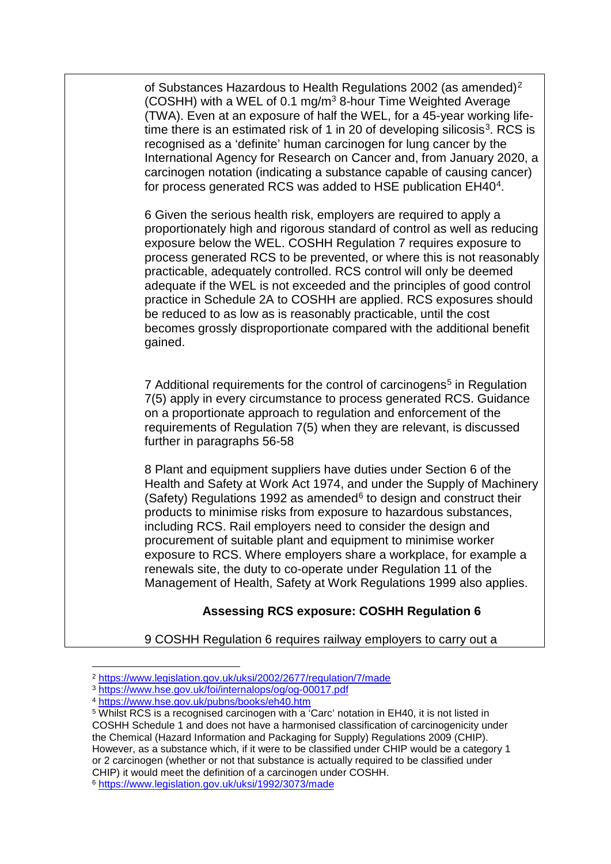of Substances Hazardous to Health Regulations [2](#page-3-0)002 (as amended)<sup>2</sup> (COSHH) with a WEL of 0.1 mg/m3 8-hour Time Weighted Average (TWA). Even at an exposure of half the WEL, for a 45-year working lifetime there is an estimated risk of 1 in 20 of developing silicosis<sup>3</sup>. RCS is recognised as a 'definite' human carcinogen for lung cancer by the International Agency for Research on Cancer and, from January 2020, a carcinogen notation (indicating a substance capable of causing cancer) for process generated RCS was added to HSE publication EH[4](#page-3-2)0<sup>4</sup>.

6 Given the serious health risk, employers are required to apply a proportionately high and rigorous standard of control as well as reducing exposure below the WEL. COSHH Regulation 7 requires exposure to process generated RCS to be prevented, or where this is not reasonably practicable, adequately controlled. RCS control will only be deemed adequate if the WEL is not exceeded and the principles of good control practice in Schedule 2A to COSHH are applied. RCS exposures should be reduced to as low as is reasonably practicable, until the cost becomes grossly disproportionate compared with the additional benefit gained.

7 Additional requirements for the control of carcinogens<sup>[5](#page-3-3)</sup> in Regulation 7(5) apply in every circumstance to process generated RCS. Guidance on a proportionate approach to regulation and enforcement of the requirements of Regulation 7(5) when they are relevant, is discussed further in paragraphs 56-58

8 Plant and equipment suppliers have duties under Section 6 of the Health and Safety at Work Act 1974, and under the Supply of Machinery (Safety) Regulations 1992 as amended $6$  to design and construct their products to minimise risks from exposure to hazardous substances, including RCS. Rail employers need to consider the design and procurement of suitable plant and equipment to minimise worker exposure to RCS. Where employers share a workplace, for example a renewals site, the duty to co-operate under Regulation 11 of the Management of Health, Safety at Work Regulations 1999 also applies.

# **Assessing RCS exposure: COSHH Regulation 6**

9 COSHH Regulation 6 requires railway employers to carry out a

<span id="page-3-0"></span> <sup>2</sup> <https://www.legislation.gov.uk/uksi/2002/2677/regulation/7/made>

<span id="page-3-1"></span><sup>3</sup> <https://www.hse.gov.uk/foi/internalops/og/og-00017.pdf>

<span id="page-3-2"></span><sup>4</sup> <https://www.hse.gov.uk/pubns/books/eh40.htm>

<span id="page-3-4"></span><span id="page-3-3"></span><sup>&</sup>lt;sup>5</sup> Whilst RCS is a recognised carcinogen with a 'Carc' notation in EH40, it is not listed in COSHH Schedule 1 and does not have a harmonised classification of carcinogenicity under the Chemical (Hazard Information and Packaging for Supply) Regulations 2009 (CHIP). However, as a substance which, if it were to be classified under CHIP would be a category 1 or 2 carcinogen (whether or not that substance is actually required to be classified under CHIP) it would meet the definition of a carcinogen under COSHH. <sup>6</sup> <https://www.legislation.gov.uk/uksi/1992/3073/made>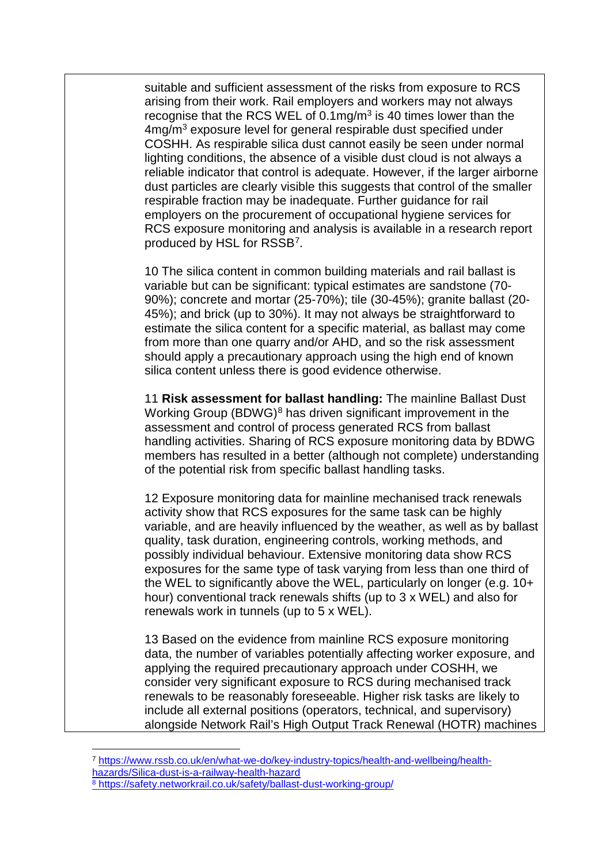suitable and sufficient assessment of the risks from exposure to RCS arising from their work. Rail employers and workers may not always recognise that the RCS WEL of  $0.1 \text{mg/m}^3$  is 40 times lower than the 4mg/m<sup>3</sup> exposure level for general respirable dust specified under COSHH. As respirable silica dust cannot easily be seen under normal lighting conditions, the absence of a visible dust cloud is not always a reliable indicator that control is adequate. However, if the larger airborne dust particles are clearly visible this suggests that control of the smaller respirable fraction may be inadequate. Further guidance for rail employers on the procurement of occupational hygiene services for RCS exposure monitoring and analysis is available in a research report produced by HSL for RSSB[7.](#page-4-0)

10 The silica content in common building materials and rail ballast is variable but can be significant: typical estimates are sandstone (70- 90%); concrete and mortar (25-70%); tile (30-45%); granite ballast (20- 45%); and brick (up to 30%). It may not always be straightforward to estimate the silica content for a specific material, as ballast may come from more than one quarry and/or AHD, and so the risk assessment should apply a precautionary approach using the high end of known silica content unless there is good evidence otherwise.

11 **Risk assessment for ballast handling:** The mainline Ballast Dust Working Group (BDWG)<sup>[8](#page-4-1)</sup> has driven significant improvement in the assessment and control of process generated RCS from ballast handling activities. Sharing of RCS exposure monitoring data by BDWG members has resulted in a better (although not complete) understanding of the potential risk from specific ballast handling tasks.

12 Exposure monitoring data for mainline mechanised track renewals activity show that RCS exposures for the same task can be highly variable, and are heavily influenced by the weather, as well as by ballast quality, task duration, engineering controls, working methods, and possibly individual behaviour. Extensive monitoring data show RCS exposures for the same type of task varying from less than one third of the WEL to significantly above the WEL, particularly on longer (e.g. 10+ hour) conventional track renewals shifts (up to 3 x WEL) and also for renewals work in tunnels (up to 5 x WEL).

13 Based on the evidence from mainline RCS exposure monitoring data, the number of variables potentially affecting worker exposure, and applying the required precautionary approach under COSHH, we consider very significant exposure to RCS during mechanised track renewals to be reasonably foreseeable. Higher risk tasks are likely to include all external positions (operators, technical, and supervisory) alongside Network Rail's High Output Track Renewal (HOTR) machines

<span id="page-4-1"></span><span id="page-4-0"></span><sup>7</sup> [https://www.rssb.co.uk/en/what-we-do/key-industry-topics/health-and-wellbeing/health](https://www.rssb.co.uk/en/what-we-do/key-industry-topics/health-and-wellbeing/health-hazards/Silica-dust-is-a-railway-health-hazard)[hazards/Silica-dust-is-a-railway-health-hazard](https://www.rssb.co.uk/en/what-we-do/key-industry-topics/health-and-wellbeing/health-hazards/Silica-dust-is-a-railway-health-hazard) 8 <https://safety.networkrail.co.uk/safety/ballast-dust-working-group/>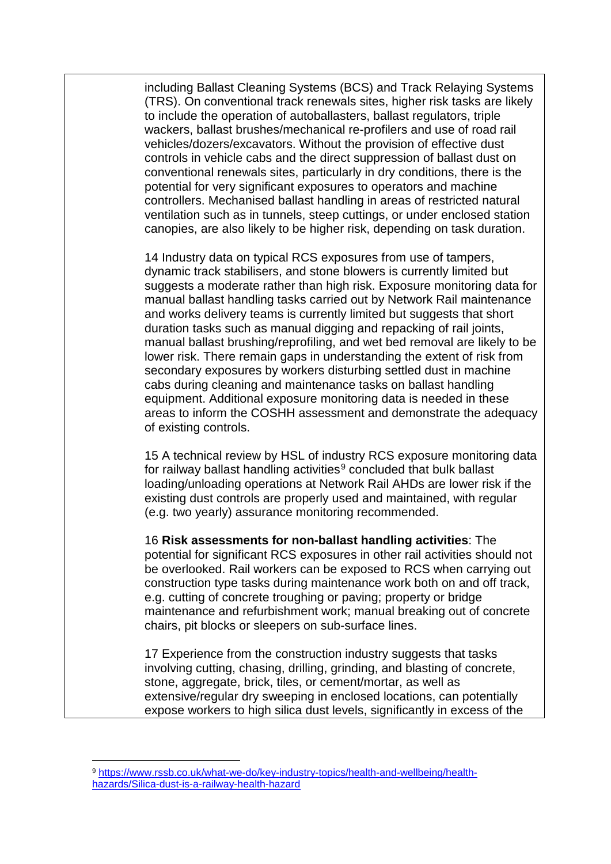including Ballast Cleaning Systems (BCS) and Track Relaying Systems (TRS). On conventional track renewals sites, higher risk tasks are likely to include the operation of autoballasters, ballast regulators, triple wackers, ballast brushes/mechanical re-profilers and use of road rail vehicles/dozers/excavators. Without the provision of effective dust controls in vehicle cabs and the direct suppression of ballast dust on conventional renewals sites, particularly in dry conditions, there is the potential for very significant exposures to operators and machine controllers. Mechanised ballast handling in areas of restricted natural ventilation such as in tunnels, steep cuttings, or under enclosed station canopies, are also likely to be higher risk, depending on task duration.

14 Industry data on typical RCS exposures from use of tampers, dynamic track stabilisers, and stone blowers is currently limited but suggests a moderate rather than high risk. Exposure monitoring data for manual ballast handling tasks carried out by Network Rail maintenance and works delivery teams is currently limited but suggests that short duration tasks such as manual digging and repacking of rail joints, manual ballast brushing/reprofiling, and wet bed removal are likely to be lower risk. There remain gaps in understanding the extent of risk from secondary exposures by workers disturbing settled dust in machine cabs during cleaning and maintenance tasks on ballast handling equipment. Additional exposure monitoring data is needed in these areas to inform the COSHH assessment and demonstrate the adequacy of existing controls.

15 A technical review by HSL of industry RCS exposure monitoring data for railway ballast handling activities<sup>[9](#page-5-0)</sup> concluded that bulk ballast loading/unloading operations at Network Rail AHDs are lower risk if the existing dust controls are properly used and maintained, with regular (e.g. two yearly) assurance monitoring recommended.

16 **Risk assessments for non-ballast handling activities**: The potential for significant RCS exposures in other rail activities should not be overlooked. Rail workers can be exposed to RCS when carrying out construction type tasks during maintenance work both on and off track, e.g. cutting of concrete troughing or paving; property or bridge maintenance and refurbishment work; manual breaking out of concrete chairs, pit blocks or sleepers on sub-surface lines.

17 Experience from the construction industry suggests that tasks involving cutting, chasing, drilling, grinding, and blasting of concrete, stone, aggregate, brick, tiles, or cement/mortar, as well as extensive/regular dry sweeping in enclosed locations, can potentially expose workers to high silica dust levels, significantly in excess of the

<span id="page-5-0"></span><sup>9</sup> [https://www.rssb.co.uk/what-we-do/key-industry-topics/health-and-wellbeing/health](https://www.rssb.co.uk/what-we-do/key-industry-topics/health-and-wellbeing/health-hazards/Silica-dust-is-a-railway-health-hazard)[hazards/Silica-dust-is-a-railway-health-hazard](https://www.rssb.co.uk/what-we-do/key-industry-topics/health-and-wellbeing/health-hazards/Silica-dust-is-a-railway-health-hazard)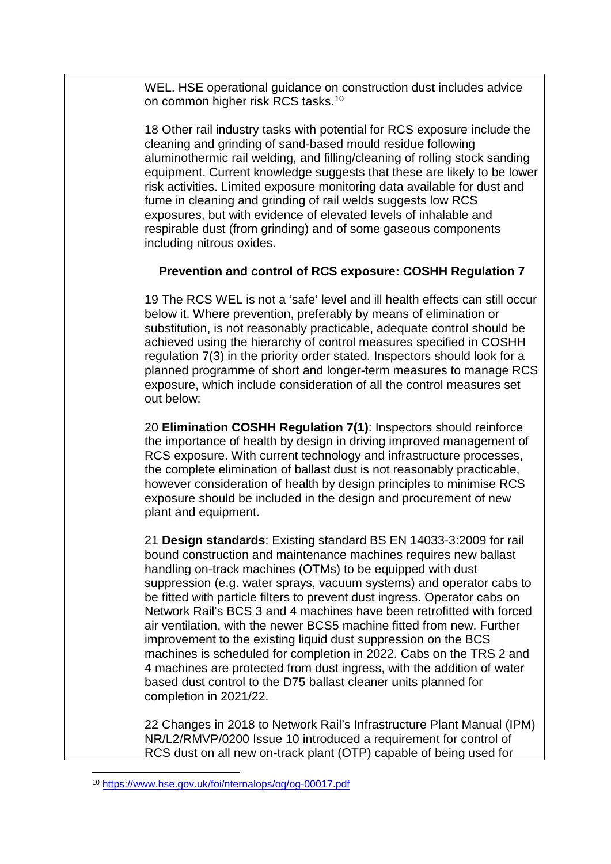WEL. HSE operational guidance on construction dust includes advice on common higher risk RCS tasks.<sup>[10](#page-6-0)</sup>

18 Other rail industry tasks with potential for RCS exposure include the cleaning and grinding of sand-based mould residue following aluminothermic rail welding, and filling/cleaning of rolling stock sanding equipment. Current knowledge suggests that these are likely to be lower risk activities. Limited exposure monitoring data available for dust and fume in cleaning and grinding of rail welds suggests low RCS exposures, but with evidence of elevated levels of inhalable and respirable dust (from grinding) and of some gaseous components including nitrous oxides.

#### **Prevention and control of RCS exposure: COSHH Regulation 7**

19 The RCS WEL is not a 'safe' level and ill health effects can still occur below it. Where prevention, preferably by means of elimination or substitution, is not reasonably practicable, adequate control should be achieved using the hierarchy of control measures specified in COSHH regulation 7(3) in the priority order stated*.* Inspectors should look for a planned programme of short and longer-term measures to manage RCS exposure, which include consideration of all the control measures set out below:

20 **Elimination COSHH Regulation 7(1)**: Inspectors should reinforce the importance of health by design in driving improved management of RCS exposure. With current technology and infrastructure processes, the complete elimination of ballast dust is not reasonably practicable, however consideration of health by design principles to minimise RCS exposure should be included in the design and procurement of new plant and equipment.

21 **Design standards**: Existing standard BS EN 14033-3:2009 for rail bound construction and maintenance machines requires new ballast handling on-track machines (OTMs) to be equipped with dust suppression (e.g. water sprays, vacuum systems) and operator cabs to be fitted with particle filters to prevent dust ingress. Operator cabs on Network Rail's BCS 3 and 4 machines have been retrofitted with forced air ventilation, with the newer BCS5 machine fitted from new. Further improvement to the existing liquid dust suppression on the BCS machines is scheduled for completion in 2022. Cabs on the TRS 2 and 4 machines are protected from dust ingress, with the addition of water based dust control to the D75 ballast cleaner units planned for completion in 2021/22.

22 Changes in 2018 to Network Rail's Infrastructure Plant Manual (IPM) NR/L2/RMVP/0200 Issue 10 introduced a requirement for control of RCS dust on all new on-track plant (OTP) capable of being used for

<span id="page-6-0"></span> $\overline{a}$ <sup>10</sup> <https://www.hse.gov.uk/foi/nternalops/og/og-00017.pdf>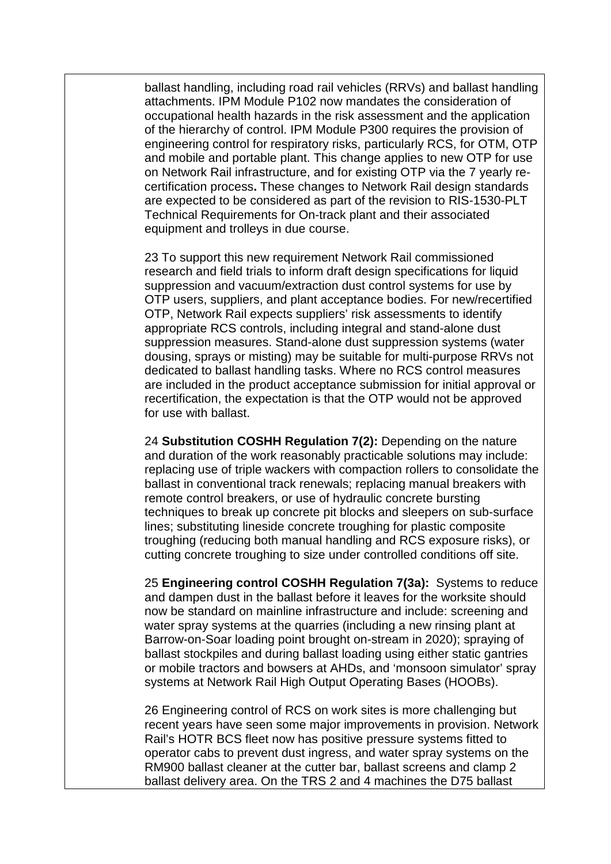ballast handling, including road rail vehicles (RRVs) and ballast handling attachments. IPM Module P102 now mandates the consideration of occupational health hazards in the risk assessment and the application of the hierarchy of control. IPM Module P300 requires the provision of engineering control for respiratory risks, particularly RCS, for OTM, OTP and mobile and portable plant. This change applies to new OTP for use on Network Rail infrastructure, and for existing OTP via the 7 yearly recertification process**.** These changes to Network Rail design standards are expected to be considered as part of the revision to RIS-1530-PLT Technical Requirements for On-track plant and their associated equipment and trolleys in due course.

23 To support this new requirement Network Rail commissioned research and field trials to inform draft design specifications for liquid suppression and vacuum/extraction dust control systems for use by OTP users, suppliers, and plant acceptance bodies. For new/recertified OTP, Network Rail expects suppliers' risk assessments to identify appropriate RCS controls, including integral and stand-alone dust suppression measures. Stand-alone dust suppression systems (water dousing, sprays or misting) may be suitable for multi-purpose RRVs not dedicated to ballast handling tasks. Where no RCS control measures are included in the product acceptance submission for initial approval or recertification, the expectation is that the OTP would not be approved for use with ballast.

24 **Substitution COSHH Regulation 7(2):** Depending on the nature and duration of the work reasonably practicable solutions may include: replacing use of triple wackers with compaction rollers to consolidate the ballast in conventional track renewals; replacing manual breakers with remote control breakers, or use of hydraulic concrete bursting techniques to break up concrete pit blocks and sleepers on sub-surface lines; substituting lineside concrete troughing for plastic composite troughing (reducing both manual handling and RCS exposure risks), or cutting concrete troughing to size under controlled conditions off site.

25 **Engineering control COSHH Regulation 7(3a):** Systems to reduce and dampen dust in the ballast before it leaves for the worksite should now be standard on mainline infrastructure and include: screening and water spray systems at the quarries (including a new rinsing plant at Barrow-on-Soar loading point brought on-stream in 2020); spraying of ballast stockpiles and during ballast loading using either static gantries or mobile tractors and bowsers at AHDs, and 'monsoon simulator' spray systems at Network Rail High Output Operating Bases (HOOBs).

26 Engineering control of RCS on work sites is more challenging but recent years have seen some major improvements in provision. Network Rail's HOTR BCS fleet now has positive pressure systems fitted to operator cabs to prevent dust ingress, and water spray systems on the RM900 ballast cleaner at the cutter bar, ballast screens and clamp 2 ballast delivery area. On the TRS 2 and 4 machines the D75 ballast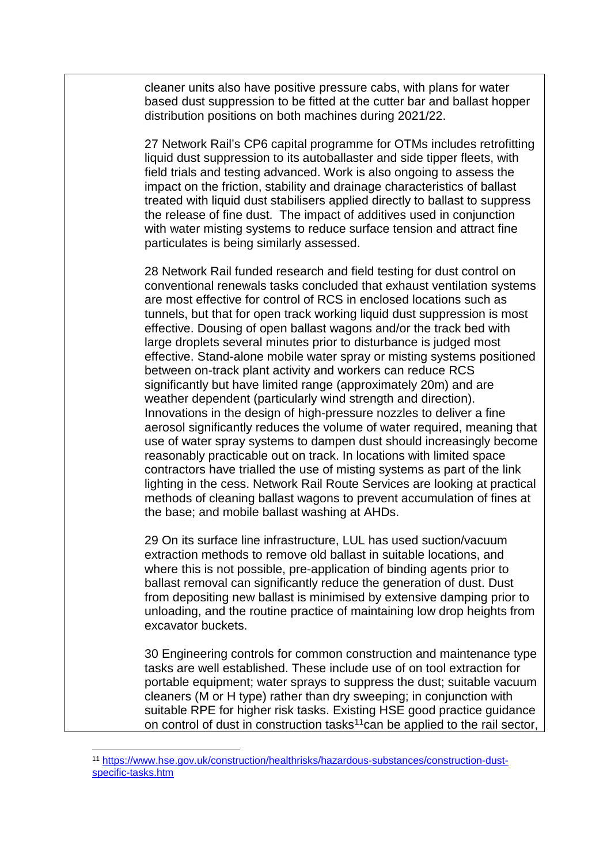cleaner units also have positive pressure cabs, with plans for water based dust suppression to be fitted at the cutter bar and ballast hopper distribution positions on both machines during 2021/22.

27 Network Rail's CP6 capital programme for OTMs includes retrofitting liquid dust suppression to its autoballaster and side tipper fleets, with field trials and testing advanced. Work is also ongoing to assess the impact on the friction, stability and drainage characteristics of ballast treated with liquid dust stabilisers applied directly to ballast to suppress the release of fine dust. The impact of additives used in conjunction with water misting systems to reduce surface tension and attract fine particulates is being similarly assessed.

28 Network Rail funded research and field testing for dust control on conventional renewals tasks concluded that exhaust ventilation systems are most effective for control of RCS in enclosed locations such as tunnels, but that for open track working liquid dust suppression is most effective. Dousing of open ballast wagons and/or the track bed with large droplets several minutes prior to disturbance is judged most effective. Stand-alone mobile water spray or misting systems positioned between on-track plant activity and workers can reduce RCS significantly but have limited range (approximately 20m) and are weather dependent (particularly wind strength and direction). Innovations in the design of high-pressure nozzles to deliver a fine aerosol significantly reduces the volume of water required, meaning that use of water spray systems to dampen dust should increasingly become reasonably practicable out on track. In locations with limited space contractors have trialled the use of misting systems as part of the link lighting in the cess. Network Rail Route Services are looking at practical methods of cleaning ballast wagons to prevent accumulation of fines at the base; and mobile ballast washing at AHDs.

29 On its surface line infrastructure, LUL has used suction/vacuum extraction methods to remove old ballast in suitable locations, and where this is not possible, pre-application of binding agents prior to ballast removal can significantly reduce the generation of dust. Dust from depositing new ballast is minimised by extensive damping prior to unloading, and the routine practice of maintaining low drop heights from excavator buckets.

30 Engineering controls for common construction and maintenance type tasks are well established. These include use of on tool extraction for portable equipment; water sprays to suppress the dust; suitable vacuum cleaners (M or H type) rather than dry sweeping; in conjunction with suitable RPE for higher risk tasks. Existing HSE good practice guidance on control of dust in construction tasks<sup>[11](#page-8-0)</sup>can be applied to the rail sector,

<span id="page-8-0"></span> <sup>11</sup> [https://www.hse.gov.uk/construction/healthrisks/hazardous-substances/construction-dust](https://www.hse.gov.uk/construction/healthrisks/hazardous-substances/construction-dust-specific-tasks.htm)[specific-tasks.htm](https://www.hse.gov.uk/construction/healthrisks/hazardous-substances/construction-dust-specific-tasks.htm)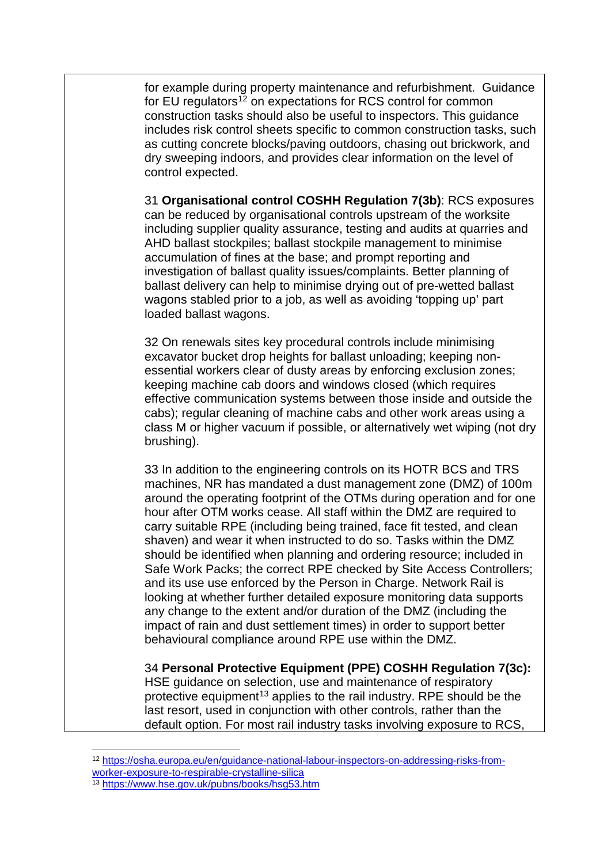for example during property maintenance and refurbishment. Guidance for EU regulators<sup>[12](#page-9-0)</sup> on expectations for RCS control for common construction tasks should also be useful to inspectors. This guidance includes risk control sheets specific to common construction tasks, such as cutting concrete blocks/paving outdoors, chasing out brickwork, and dry sweeping indoors, and provides clear information on the level of control expected.

31 **Organisational control COSHH Regulation 7(3b)**: RCS exposures can be reduced by organisational controls upstream of the worksite including supplier quality assurance, testing and audits at quarries and AHD ballast stockpiles; ballast stockpile management to minimise accumulation of fines at the base; and prompt reporting and investigation of ballast quality issues/complaints. Better planning of ballast delivery can help to minimise drying out of pre-wetted ballast wagons stabled prior to a job, as well as avoiding 'topping up' part loaded ballast wagons.

32 On renewals sites key procedural controls include minimising excavator bucket drop heights for ballast unloading; keeping nonessential workers clear of dusty areas by enforcing exclusion zones; keeping machine cab doors and windows closed (which requires effective communication systems between those inside and outside the cabs); regular cleaning of machine cabs and other work areas using a class M or higher vacuum if possible, or alternatively wet wiping (not dry brushing).

33 In addition to the engineering controls on its HOTR BCS and TRS machines, NR has mandated a dust management zone (DMZ) of 100m around the operating footprint of the OTMs during operation and for one hour after OTM works cease. All staff within the DMZ are required to carry suitable RPE (including being trained, face fit tested, and clean shaven) and wear it when instructed to do so. Tasks within the DMZ should be identified when planning and ordering resource; included in Safe Work Packs; the correct RPE checked by Site Access Controllers; and its use use enforced by the Person in Charge. Network Rail is looking at whether further detailed exposure monitoring data supports any change to the extent and/or duration of the DMZ (including the impact of rain and dust settlement times) in order to support better behavioural compliance around RPE use within the DMZ.

34 **Personal Protective Equipment (PPE) COSHH Regulation 7(3c):**  HSE guidance on selection, use and maintenance of respiratory protective equipment<sup>[13](#page-9-1)</sup> applies to the rail industry. RPE should be the last resort, used in conjunction with other controls, rather than the default option. For most rail industry tasks involving exposure to RCS,

<span id="page-9-0"></span><sup>12</sup> [https://osha.europa.eu/en/guidance-national-labour-inspectors-on-addressing-risks-from](https://osha.europa.eu/en/guidance-national-labour-inspectors-on-addressing-risks-from-worker-exposure-to-respirable-crystalline-silica)[worker-exposure-to-respirable-crystalline-silica](https://osha.europa.eu/en/guidance-national-labour-inspectors-on-addressing-risks-from-worker-exposure-to-respirable-crystalline-silica)

<span id="page-9-1"></span><sup>13</sup> <https://www.hse.gov.uk/pubns/books/hsg53.htm>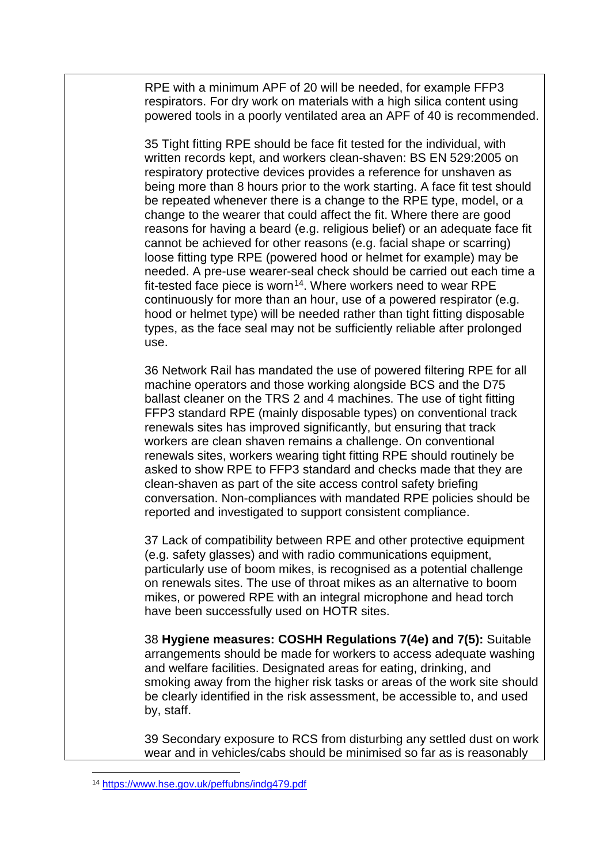RPE with a minimum APF of 20 will be needed, for example FFP3 respirators. For dry work on materials with a high silica content using powered tools in a poorly ventilated area an APF of 40 is recommended.

35 Tight fitting RPE should be face fit tested for the individual, with written records kept, and workers clean-shaven: BS EN 529:2005 on respiratory protective devices provides a reference for unshaven as being more than 8 hours prior to the work starting. A face fit test should be repeated whenever there is a change to the RPE type, model, or a change to the wearer that could affect the fit. Where there are good reasons for having a beard (e.g. religious belief) or an adequate face fit cannot be achieved for other reasons (e.g. facial shape or scarring) loose fitting type RPE (powered hood or helmet for example) may be needed. A pre-use wearer-seal check should be carried out each time a fit-tested face piece is worn<sup>14</sup>. Where workers need to wear RPE continuously for more than an hour, use of a powered respirator (e.g. hood or helmet type) will be needed rather than tight fitting disposable types, as the face seal may not be sufficiently reliable after prolonged use.

36 Network Rail has mandated the use of powered filtering RPE for all machine operators and those working alongside BCS and the D75 ballast cleaner on the TRS 2 and 4 machines. The use of tight fitting FFP3 standard RPE (mainly disposable types) on conventional track renewals sites has improved significantly, but ensuring that track workers are clean shaven remains a challenge. On conventional renewals sites, workers wearing tight fitting RPE should routinely be asked to show RPE to FFP3 standard and checks made that they are clean-shaven as part of the site access control safety briefing conversation. Non-compliances with mandated RPE policies should be reported and investigated to support consistent compliance.

37 Lack of compatibility between RPE and other protective equipment (e.g. safety glasses) and with radio communications equipment, particularly use of boom mikes, is recognised as a potential challenge on renewals sites. The use of throat mikes as an alternative to boom mikes, or powered RPE with an integral microphone and head torch have been successfully used on HOTR sites.

38 **Hygiene measures: COSHH Regulations 7(4e) and 7(5):** Suitable arrangements should be made for workers to access adequate washing and welfare facilities. Designated areas for eating, drinking, and smoking away from the higher risk tasks or areas of the work site should be clearly identified in the risk assessment, be accessible to, and used by, staff.

39 Secondary exposure to RCS from disturbing any settled dust on work wear and in vehicles/cabs should be minimised so far as is reasonably

<span id="page-10-0"></span><sup>14</sup> <https://www.hse.gov.uk/peffubns/indg479.pdf>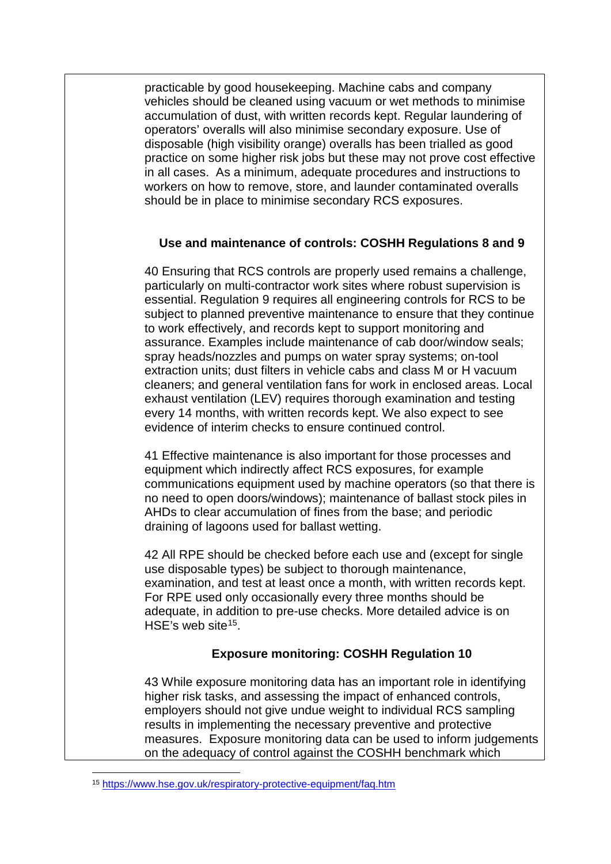practicable by good housekeeping. Machine cabs and company vehicles should be cleaned using vacuum or wet methods to minimise accumulation of dust, with written records kept. Regular laundering of operators' overalls will also minimise secondary exposure. Use of disposable (high visibility orange) overalls has been trialled as good practice on some higher risk jobs but these may not prove cost effective in all cases. As a minimum, adequate procedures and instructions to workers on how to remove, store, and launder contaminated overalls should be in place to minimise secondary RCS exposures.

#### **Use and maintenance of controls: COSHH Regulations 8 and 9**

40 Ensuring that RCS controls are properly used remains a challenge, particularly on multi-contractor work sites where robust supervision is essential. Regulation 9 requires all engineering controls for RCS to be subject to planned preventive maintenance to ensure that they continue to work effectively, and records kept to support monitoring and assurance. Examples include maintenance of cab door/window seals; spray heads/nozzles and pumps on water spray systems; on-tool extraction units; dust filters in vehicle cabs and class M or H vacuum cleaners; and general ventilation fans for work in enclosed areas. Local exhaust ventilation (LEV) requires thorough examination and testing every 14 months, with written records kept. We also expect to see evidence of interim checks to ensure continued control.

41 Effective maintenance is also important for those processes and equipment which indirectly affect RCS exposures, for example communications equipment used by machine operators (so that there is no need to open doors/windows); maintenance of ballast stock piles in AHDs to clear accumulation of fines from the base; and periodic draining of lagoons used for ballast wetting.

42 All RPE should be checked before each use and (except for single use disposable types) be subject to thorough maintenance, examination, and test at least once a month, with written records kept. For RPE used only occasionally every three months should be adequate, in addition to pre-use checks. More detailed advice is on HSE's web site<sup>[15](#page-11-0)</sup>.

# **Exposure monitoring: COSHH Regulation 10**

43 While exposure monitoring data has an important role in identifying higher risk tasks, and assessing the impact of enhanced controls, employers should not give undue weight to individual RCS sampling results in implementing the necessary preventive and protective measures. Exposure monitoring data can be used to inform judgements on the adequacy of control against the COSHH benchmark which

<span id="page-11-0"></span> $\overline{a}$ <sup>15</sup> <https://www.hse.gov.uk/respiratory-protective-equipment/faq.htm>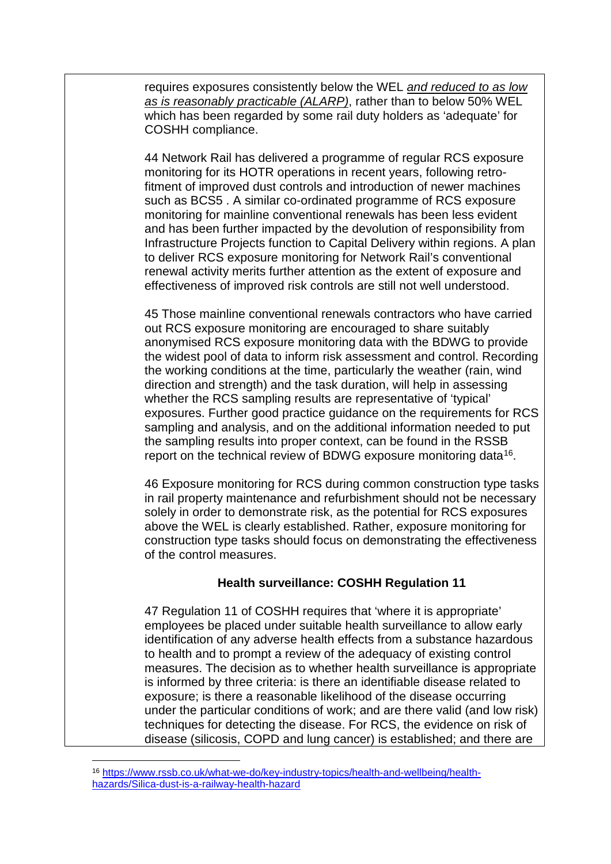requires exposures consistently below the WEL *and reduced to as low as is reasonably practicable (ALARP)*, rather than to below 50% WEL which has been regarded by some rail duty holders as 'adequate' for COSHH compliance.

44 Network Rail has delivered a programme of regular RCS exposure monitoring for its HOTR operations in recent years, following retrofitment of improved dust controls and introduction of newer machines such as BCS5 . A similar co-ordinated programme of RCS exposure monitoring for mainline conventional renewals has been less evident and has been further impacted by the devolution of responsibility from Infrastructure Projects function to Capital Delivery within regions. A plan to deliver RCS exposure monitoring for Network Rail's conventional renewal activity merits further attention as the extent of exposure and effectiveness of improved risk controls are still not well understood.

45 Those mainline conventional renewals contractors who have carried out RCS exposure monitoring are encouraged to share suitably anonymised RCS exposure monitoring data with the BDWG to provide the widest pool of data to inform risk assessment and control. Recording the working conditions at the time, particularly the weather (rain, wind direction and strength) and the task duration, will help in assessing whether the RCS sampling results are representative of 'typical' exposures. Further good practice guidance on the requirements for RCS sampling and analysis, and on the additional information needed to put the sampling results into proper context, can be found in the RSSB report on the technical review of BDWG exposure monitoring data<sup>16</sup>.

46 Exposure monitoring for RCS during common construction type tasks in rail property maintenance and refurbishment should not be necessary solely in order to demonstrate risk, as the potential for RCS exposures above the WEL is clearly established. Rather, exposure monitoring for construction type tasks should focus on demonstrating the effectiveness of the control measures.

#### **Health surveillance: COSHH Regulation 11**

47 Regulation 11 of COSHH requires that 'where it is appropriate' employees be placed under suitable health surveillance to allow early identification of any adverse health effects from a substance hazardous to health and to prompt a review of the adequacy of existing control measures. The decision as to whether health surveillance is appropriate is informed by three criteria: is there an identifiable disease related to exposure; is there a reasonable likelihood of the disease occurring under the particular conditions of work; and are there valid (and low risk) techniques for detecting the disease. For RCS, the evidence on risk of disease (silicosis, COPD and lung cancer) is established; and there are

<span id="page-12-0"></span><sup>16</sup> [https://www.rssb.co.uk/what-we-do/key-industry-topics/health-and-wellbeing/health](https://www.rssb.co.uk/what-we-do/key-industry-topics/health-and-wellbeing/health-hazards/Silica-dust-is-a-railway-health-hazard)[hazards/Silica-dust-is-a-railway-health-hazard](https://www.rssb.co.uk/what-we-do/key-industry-topics/health-and-wellbeing/health-hazards/Silica-dust-is-a-railway-health-hazard)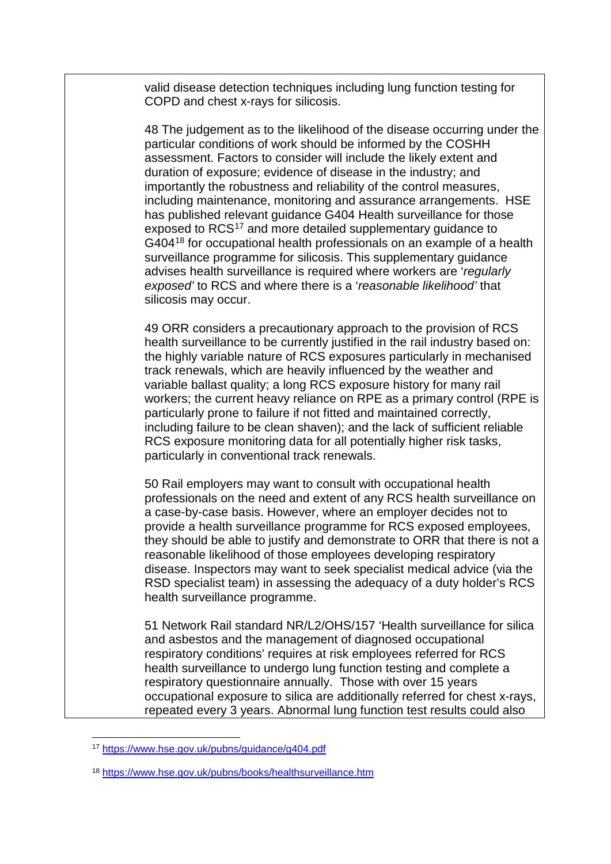valid disease detection techniques including lung function testing for COPD and chest x-rays for silicosis.

48 The judgement as to the likelihood of the disease occurring under the particular conditions of work should be informed by the COSHH assessment. Factors to consider will include the likely extent and duration of exposure; evidence of disease in the industry; and importantly the robustness and reliability of the control measures, including maintenance, monitoring and assurance arrangements. HSE has published relevant guidance G404 Health surveillance for those exposed to RCS<sup>[17](#page-13-0)</sup> and more detailed supplementary guidance to G404<sup>[18](#page-13-1)</sup> for occupational health professionals on an example of a health surveillance programme for silicosis. This supplementary guidance advises health surveillance is required where workers are '*regularly exposed'* to RCS and where there is a '*reasonable likelihood'* that silicosis may occur.

49 ORR considers a precautionary approach to the provision of RCS health surveillance to be currently justified in the rail industry based on: the highly variable nature of RCS exposures particularly in mechanised track renewals, which are heavily influenced by the weather and variable ballast quality; a long RCS exposure history for many rail workers; the current heavy reliance on RPE as a primary control (RPE is particularly prone to failure if not fitted and maintained correctly, including failure to be clean shaven); and the lack of sufficient reliable RCS exposure monitoring data for all potentially higher risk tasks, particularly in conventional track renewals.

50 Rail employers may want to consult with occupational health professionals on the need and extent of any RCS health surveillance on a case-by-case basis. However, where an employer decides not to provide a health surveillance programme for RCS exposed employees, they should be able to justify and demonstrate to ORR that there is not a reasonable likelihood of those employees developing respiratory disease. Inspectors may want to seek specialist medical advice (via the RSD specialist team) in assessing the adequacy of a duty holder's RCS health surveillance programme.

51 Network Rail standard NR/L2/OHS/157 'Health surveillance for silica and asbestos and the management of diagnosed occupational respiratory conditions' requires at risk employees referred for RCS health surveillance to undergo lung function testing and complete a respiratory questionnaire annually. Those with over 15 years occupational exposure to silica are additionally referred for chest x-rays, repeated every 3 years. Abnormal lung function test results could also

<span id="page-13-0"></span><sup>17</sup> <https://www.hse.gov.uk/pubns/guidance/g404.pdf>

<span id="page-13-1"></span><sup>18</sup> <https://www.hse.gov.uk/pubns/books/healthsurveillance.htm>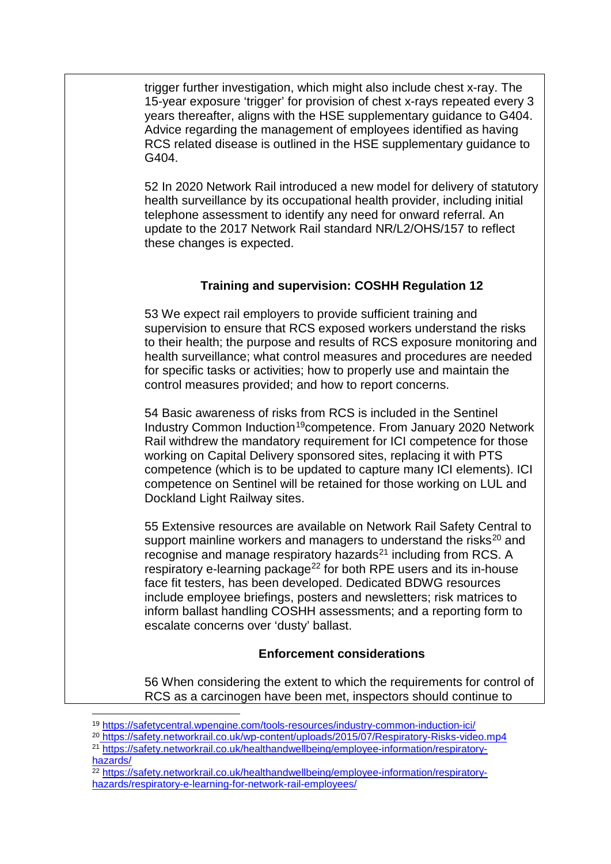trigger further investigation, which might also include chest x-ray. The 15-year exposure 'trigger' for provision of chest x-rays repeated every 3 years thereafter, aligns with the HSE supplementary guidance to G404. Advice regarding the management of employees identified as having RCS related disease is outlined in the [HSE supplementary guidance to](http://www.hse.gov.uk/pubns/books/healthsurveillance.htm)  [G404.](http://www.hse.gov.uk/pubns/books/healthsurveillance.htm)

52 In 2020 Network Rail introduced a new model for delivery of statutory health surveillance by its occupational health provider, including initial telephone assessment to identify any need for onward referral. An update to the 2017 Network Rail standard NR/L2/OHS/157 to reflect these changes is expected.

# **Training and supervision: COSHH Regulation 12**

53 We expect rail employers to provide sufficient training and supervision to ensure that RCS exposed workers understand the risks to their health; the purpose and results of RCS exposure monitoring and health surveillance; what control measures and procedures are needed for specific tasks or activities; how to properly use and maintain the control measures provided; and how to report concerns.

54 Basic awareness of risks from RCS is included in the Sentinel Industry Common Induction<sup>[19](#page-14-0)</sup>competence. From January 2020 Network Rail withdrew the mandatory requirement for ICI competence for those working on Capital Delivery sponsored sites, replacing it with PTS competence (which is to be updated to capture many ICI elements). ICI competence on Sentinel will be retained for those working on LUL and Dockland Light Railway sites.

55 Extensive resources are available on Network Rail Safety Central to support mainline workers and managers to understand the risks $20$  and recognise and manage respiratory hazards<sup>[21](#page-14-2)</sup> including from RCS. A respiratory e-learning package<sup>[22](#page-14-3)</sup> for both RPE users and its in-house face fit testers, has been developed. Dedicated BDWG resources include employee briefings, posters and newsletters; risk matrices to inform ballast handling COSHH assessments; and a reporting form to escalate concerns over 'dusty' ballast.

# **Enforcement considerations**

56 When considering the extent to which the requirements for control of RCS as a carcinogen have been met, inspectors should continue to

 $\overline{a}$ <sup>19</sup> <https://safetycentral.wpengine.com/tools-resources/industry-common-induction-ici/>

<span id="page-14-1"></span><span id="page-14-0"></span><sup>20</sup> <https://safety.networkrail.co.uk/wp-content/uploads/2015/07/Respiratory-Risks-video.mp4>

<span id="page-14-2"></span><sup>21</sup> [https://safety.networkrail.co.uk/healthandwellbeing/employee-information/respiratory](https://safety.networkrail.co.uk/healthandwellbeing/employee-information/respiratory-hazards/)[hazards/](https://safety.networkrail.co.uk/healthandwellbeing/employee-information/respiratory-hazards/)

<span id="page-14-3"></span><sup>22</sup> [https://safety.networkrail.co.uk/healthandwellbeing/employee-information/respiratory](https://safety.networkrail.co.uk/healthandwellbeing/employee-information/respiratory-hazards/respiratory-e-learning-for-network-rail-employees/)[hazards/respiratory-e-learning-for-network-rail-employees/](https://safety.networkrail.co.uk/healthandwellbeing/employee-information/respiratory-hazards/respiratory-e-learning-for-network-rail-employees/)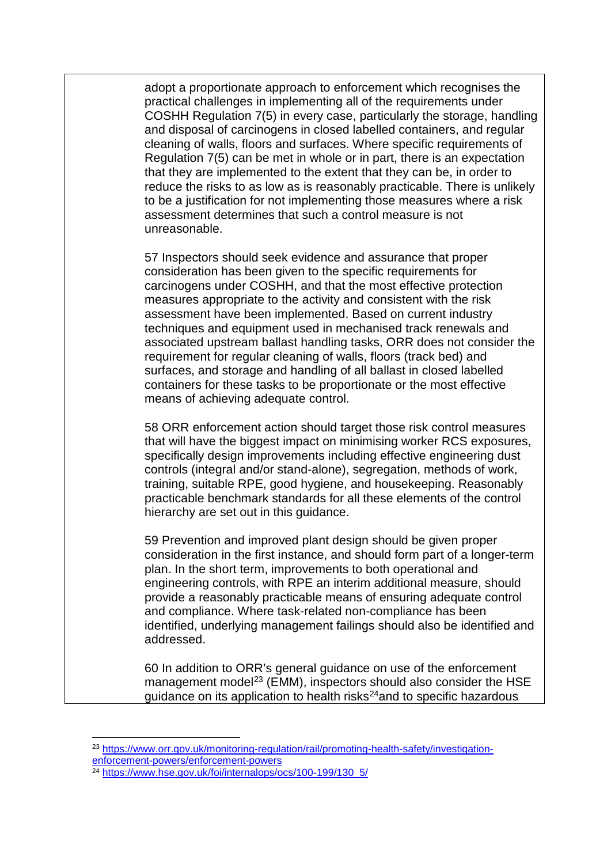adopt a proportionate approach to enforcement which recognises the practical challenges in implementing all of the requirements under COSHH Regulation 7(5) in every case, particularly the storage, handling and disposal of carcinogens in closed labelled containers, and regular cleaning of walls, floors and surfaces. Where specific requirements of Regulation 7(5) can be met in whole or in part, there is an expectation that they are implemented to the extent that they can be, in order to reduce the risks to as low as is reasonably practicable. There is unlikely to be a justification for not implementing those measures where a risk assessment determines that such a control measure is not unreasonable.

57 Inspectors should seek evidence and assurance that proper consideration has been given to the specific requirements for carcinogens under COSHH, and that the most effective protection measures appropriate to the activity and consistent with the risk assessment have been implemented. Based on current industry techniques and equipment used in mechanised track renewals and associated upstream ballast handling tasks, ORR does not consider the requirement for regular cleaning of walls, floors (track bed) and surfaces, and storage and handling of all ballast in closed labelled containers for these tasks to be proportionate or the most effective means of achieving adequate control.

58 ORR enforcement action should target those risk control measures that will have the biggest impact on minimising worker RCS exposures, specifically design improvements including effective engineering dust controls (integral and/or stand-alone), segregation, methods of work, training, suitable RPE, good hygiene, and housekeeping. Reasonably practicable benchmark standards for all these elements of the control hierarchy are set out in this guidance.

59 Prevention and improved plant design should be given proper consideration in the first instance, and should form part of a longer-term plan. In the short term, improvements to both operational and engineering controls, with RPE an interim additional measure, should provide a reasonably practicable means of ensuring adequate control and compliance. Where task-related non-compliance has been identified, underlying management failings should also be identified and addressed.

60 In addition to ORR's general guidance on use of the enforcement management model<sup>[23](#page-15-0)</sup> (EMM), inspectors should also consider the HSE guidance on its application to health risks<sup>[24](#page-15-1)</sup>and to specific hazardous

<span id="page-15-0"></span><sup>23</sup> [https://www.orr.gov.uk/monitoring-regulation/rail/promoting-health-safety/investigation](https://www.orr.gov.uk/monitoring-regulation/rail/promoting-health-safety/investigation-enforcement-powers/enforcement-powers)[enforcement-powers/enforcement-powers](https://www.orr.gov.uk/monitoring-regulation/rail/promoting-health-safety/investigation-enforcement-powers/enforcement-powers)

<span id="page-15-1"></span><sup>&</sup>lt;sup>24</sup> [https://www.hse.gov.uk/foi/internalops/ocs/100-199/130\\_5/](https://www.hse.gov.uk/foi/internalops/ocs/100-199/130_5/)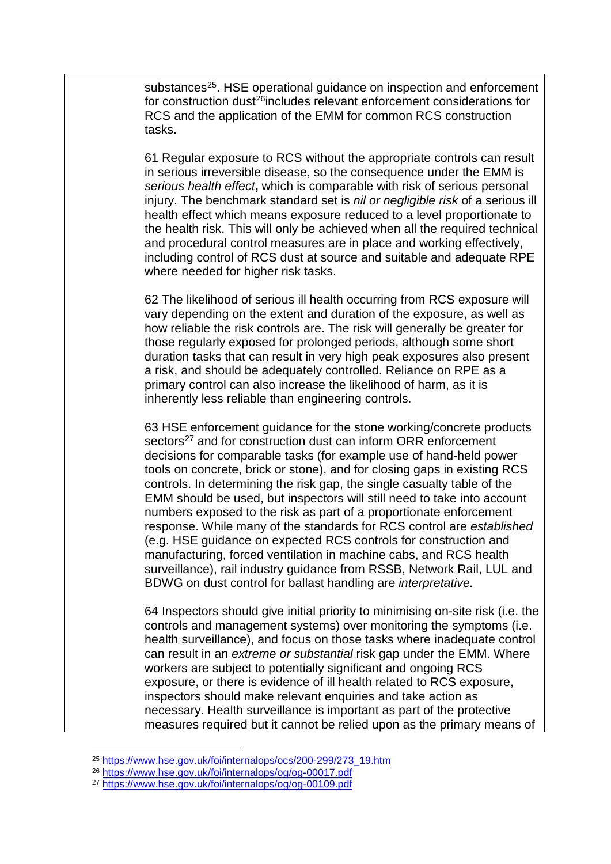substances<sup>[25](#page-16-0)</sup>. HSE operational guidance on inspection and enforcement for construction dust<sup>[26](#page-16-1)</sup>includes relevant enforcement considerations for RCS and the application of the EMM for common RCS construction tasks.

61 Regular exposure to RCS without the appropriate controls can result in serious irreversible disease, so the consequence under the EMM is *serious health effect***,** which is comparable with risk of serious personal injury. The benchmark standard set is *nil or negligible risk* of a serious ill health effect which means exposure reduced to a level proportionate to the health risk. This will only be achieved when all the required technical and procedural control measures are in place and working effectively, including control of RCS dust at source and suitable and adequate RPE where needed for higher risk tasks.

62 The likelihood of serious ill health occurring from RCS exposure will vary depending on the extent and duration of the exposure, as well as how reliable the risk controls are. The risk will generally be greater for those regularly exposed for prolonged periods, although some short duration tasks that can result in very high peak exposures also present a risk, and should be adequately controlled. Reliance on RPE as a primary control can also increase the likelihood of harm, as it is inherently less reliable than engineering controls.

63 HSE enforcement guidance for the stone working/concrete products sectors<sup>[27](#page-16-2)</sup> and for construction dust can inform ORR enforcement decisions for comparable tasks (for example use of hand-held power tools on concrete, brick or stone), and for closing gaps in existing RCS controls. In determining the risk gap, the single casualty table of the EMM should be used, but inspectors will still need to take into account numbers exposed to the risk as part of a proportionate enforcement response. While many of the standards for RCS control are *established* (e.g. HSE guidance on expected RCS controls for construction and manufacturing, forced ventilation in machine cabs, and RCS health surveillance), rail industry guidance from RSSB, Network Rail, LUL and BDWG on dust control for ballast handling are *interpretative.*

64 Inspectors should give initial priority to minimising on-site risk (i.e. the controls and management systems) over monitoring the symptoms (i.e. health surveillance), and focus on those tasks where inadequate control can result in an *extreme or substantial* risk gap under the EMM. Where workers are subject to potentially significant and ongoing RCS exposure, or there is evidence of ill health related to RCS exposure, inspectors should make relevant enquiries and take action as necessary. Health surveillance is important as part of the protective measures required but it cannot be relied upon as the primary means of

<span id="page-16-0"></span><sup>25</sup> [https://www.hse.gov.uk/foi/internalops/ocs/200-299/273\\_19.htm](https://www.hse.gov.uk/foi/internalops/ocs/200-299/273_19.htm)

<span id="page-16-1"></span><sup>26</sup> <https://www.hse.gov.uk/foi/internalops/og/og-00017.pdf>

<span id="page-16-2"></span><sup>27</sup> <https://www.hse.gov.uk/foi/internalops/og/og-00109.pdf>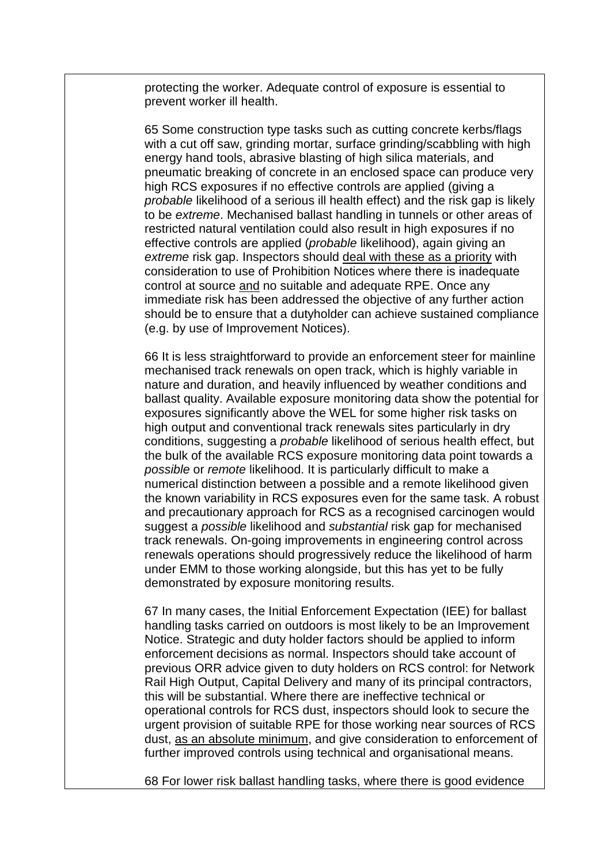protecting the worker. Adequate control of exposure is essential to prevent worker ill health.

65 Some construction type tasks such as cutting concrete kerbs/flags with a cut off saw, grinding mortar, surface grinding/scabbling with high energy hand tools, abrasive blasting of high silica materials, and pneumatic breaking of concrete in an enclosed space can produce very high RCS exposures if no effective controls are applied (giving a *probable* likelihood of a serious ill health effect) and the risk gap is likely to be *extreme*. Mechanised ballast handling in tunnels or other areas of restricted natural ventilation could also result in high exposures if no effective controls are applied (*probable* likelihood), again giving an *extreme* risk gap. Inspectors should deal with these as a priority with consideration to use of Prohibition Notices where there is inadequate control at source and no suitable and adequate RPE. Once any immediate risk has been addressed the objective of any further action should be to ensure that a dutyholder can achieve sustained compliance (e.g. by use of Improvement Notices).

66 It is less straightforward to provide an enforcement steer for mainline mechanised track renewals on open track, which is highly variable in nature and duration, and heavily influenced by weather conditions and ballast quality. Available exposure monitoring data show the potential for exposures significantly above the WEL for some higher risk tasks on high output and conventional track renewals sites particularly in dry conditions, suggesting a *probable* likelihood of serious health effect, but the bulk of the available RCS exposure monitoring data point towards a *possible* or *remote* likelihood. It is particularly difficult to make a numerical distinction between a possible and a remote likelihood given the known variability in RCS exposures even for the same task. A robust and precautionary approach for RCS as a recognised carcinogen would suggest a *possible* likelihood and *substantial* risk gap for mechanised track renewals. On-going improvements in engineering control across renewals operations should progressively reduce the likelihood of harm under EMM to those working alongside, but this has yet to be fully demonstrated by exposure monitoring results.

67 In many cases, the Initial Enforcement Expectation (IEE) for ballast handling tasks carried on outdoors is most likely to be an Improvement Notice. Strategic and duty holder factors should be applied to inform enforcement decisions as normal. Inspectors should take account of previous ORR advice given to duty holders on RCS control: for Network Rail High Output, Capital Delivery and many of its principal contractors, this will be substantial. Where there are ineffective technical or operational controls for RCS dust, inspectors should look to secure the urgent provision of suitable RPE for those working near sources of RCS dust, as an absolute minimum, and give consideration to enforcement of further improved controls using technical and organisational means.

68 For lower risk ballast handling tasks, where there is good evidence